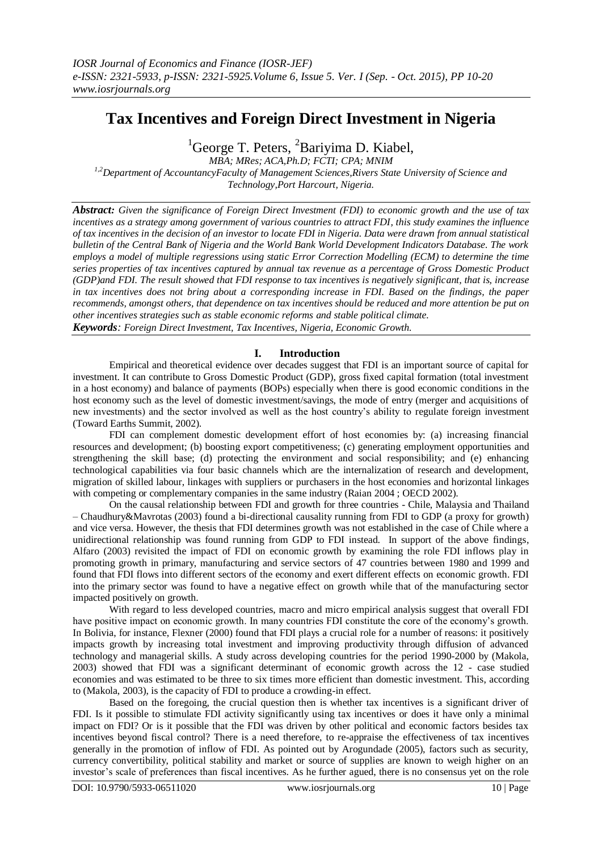# **Tax Incentives and Foreign Direct Investment in Nigeria**

 ${}^{1}$ George T. Peters,  ${}^{2}$ Bariyima D. Kiabel,

*MBA; MRes; ACA,Ph.D; FCTI; CPA; MNIM 1,2Department of AccountancyFaculty of Management Sciences,Rivers State University of Science and Technology,Port Harcourt, Nigeria.*

*Abstract: Given the significance of Foreign Direct Investment (FDI) to economic growth and the use of tax incentives as a strategy among government of various countries to attract FDI, this study examines the influence of tax incentives in the decision of an investor to locate FDI in Nigeria. Data were drawn from annual statistical bulletin of the Central Bank of Nigeria and the World Bank World Development Indicators Database. The work employs a model of multiple regressions using static Error Correction Modelling (ECM) to determine the time series properties of tax incentives captured by annual tax revenue as a percentage of Gross Domestic Product (GDP)and FDI. The result showed that FDI response to tax incentives is negatively significant, that is, increase in tax incentives does not bring about a corresponding increase in FDI. Based on the findings, the paper recommends, amongst others, that dependence on tax incentives should be reduced and more attention be put on other incentives strategies such as stable economic reforms and stable political climate.*

*Keywords: Foreign Direct Investment, Tax Incentives, Nigeria, Economic Growth.*

# **I. Introduction**

Empirical and theoretical evidence over decades suggest that FDI is an important source of capital for investment. It can contribute to Gross Domestic Product (GDP), gross fixed capital formation (total investment in a host economy) and balance of payments (BOPs) especially when there is good economic conditions in the host economy such as the level of domestic investment/savings, the mode of entry (merger and acquisitions of new investments) and the sector involved as well as the host country's ability to regulate foreign investment (Toward Earths Summit, 2002).

FDI can complement domestic development effort of host economies by: (a) increasing financial resources and development; (b) boosting export competitiveness; (c) generating employment opportunities and strengthening the skill base; (d) protecting the environment and social responsibility; and (e) enhancing technological capabilities via four basic channels which are the internalization of research and development, migration of skilled labour, linkages with suppliers or purchasers in the host economies and horizontal linkages with competing or complementary companies in the same industry (Raian 2004; OECD 2002).

On the causal relationship between FDI and growth for three countries - Chile, Malaysia and Thailand – Chaudhury&Mavrotas (2003) found a bi-directional causality running from FDI to GDP (a proxy for growth) and vice versa. However, the thesis that FDI determines growth was not established in the case of Chile where a unidirectional relationship was found running from GDP to FDI instead. In support of the above findings, Alfaro (2003) revisited the impact of FDI on economic growth by examining the role FDI inflows play in promoting growth in primary, manufacturing and service sectors of 47 countries between 1980 and 1999 and found that FDI flows into different sectors of the economy and exert different effects on economic growth. FDI into the primary sector was found to have a negative effect on growth while that of the manufacturing sector impacted positively on growth.

With regard to less developed countries, macro and micro empirical analysis suggest that overall FDI have positive impact on economic growth. In many countries FDI constitute the core of the economy's growth. In Bolivia, for instance, Flexner (2000) found that FDI plays a crucial role for a number of reasons: it positively impacts growth by increasing total investment and improving productivity through diffusion of advanced technology and managerial skills. A study across developing countries for the period 1990-2000 by (Makola, 2003) showed that FDI was a significant determinant of economic growth across the 12 - case studied economies and was estimated to be three to six times more efficient than domestic investment. This, according to (Makola, 2003), is the capacity of FDI to produce a crowding-in effect.

Based on the foregoing, the crucial question then is whether tax incentives is a significant driver of FDI. Is it possible to stimulate FDI activity significantly using tax incentives or does it have only a minimal impact on FDI? Or is it possible that the FDI was driven by other political and economic factors besides tax incentives beyond fiscal control? There is a need therefore, to re-appraise the effectiveness of tax incentives generally in the promotion of inflow of FDI. As pointed out by Arogundade (2005), factors such as security, currency convertibility, political stability and market or source of supplies are known to weigh higher on an investor's scale of preferences than fiscal incentives. As he further agued, there is no consensus yet on the role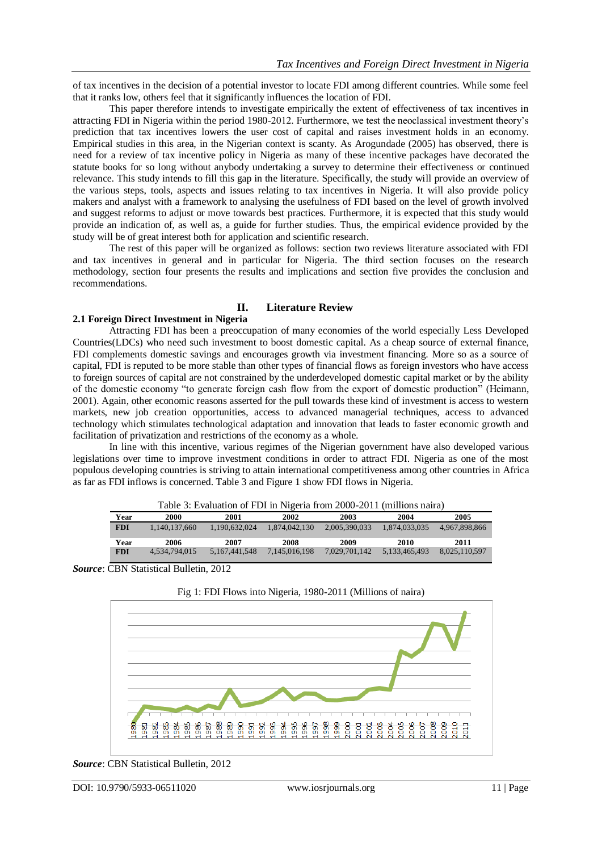of tax incentives in the decision of a potential investor to locate FDI among different countries. While some feel that it ranks low, others feel that it significantly influences the location of FDI.

This paper therefore intends to investigate empirically the extent of effectiveness of tax incentives in attracting FDI in Nigeria within the period 1980-2012. Furthermore, we test the neoclassical investment theory's prediction that tax incentives lowers the user cost of capital and raises investment holds in an economy. Empirical studies in this area, in the Nigerian context is scanty. As Arogundade (2005) has observed, there is need for a review of tax incentive policy in Nigeria as many of these incentive packages have decorated the statute books for so long without anybody undertaking a survey to determine their effectiveness or continued relevance. This study intends to fill this gap in the literature. Specifically, the study will provide an overview of the various steps, tools, aspects and issues relating to tax incentives in Nigeria. It will also provide policy makers and analyst with a framework to analysing the usefulness of FDI based on the level of growth involved and suggest reforms to adjust or move towards best practices. Furthermore, it is expected that this study would provide an indication of, as well as, a guide for further studies. Thus, the empirical evidence provided by the study will be of great interest both for application and scientific research.

The rest of this paper will be organized as follows: section two reviews literature associated with FDI and tax incentives in general and in particular for Nigeria. The third section focuses on the research methodology, section four presents the results and implications and section five provides the conclusion and recommendations.

# **II. Literature Review**

# **2.1 Foreign Direct Investment in Nigeria**

Attracting FDI has been a preoccupation of many economies of the world especially Less Developed Countries(LDCs) who need such investment to boost domestic capital. As a cheap source of external finance, FDI complements domestic savings and encourages growth via investment financing. More so as a source of capital, FDI is reputed to be more stable than other types of financial flows as foreign investors who have access to foreign sources of capital are not constrained by the underdeveloped domestic capital market or by the ability of the domestic economy "to generate foreign cash flow from the export of domestic production" (Heimann, 2001). Again, other economic reasons asserted for the pull towards these kind of investment is access to western markets, new job creation opportunities, access to advanced managerial techniques, access to advanced technology which stimulates technological adaptation and innovation that leads to faster economic growth and facilitation of privatization and restrictions of the economy as a whole.

In line with this incentive, various regimes of the Nigerian government have also developed various legislations over time to improve investment conditions in order to attract FDI. Nigeria as one of the most populous developing countries is striving to attain international competitiveness among other countries in Africa as far as FDI inflows is concerned. Table 3 and Figure 1 show FDI flows in Nigeria.

|            | Table 3: Evaluation of FDI in Nigeria from 2000-2011 (millions naira) |                  |               |               |               |               |
|------------|-----------------------------------------------------------------------|------------------|---------------|---------------|---------------|---------------|
| Year       | 2000                                                                  | 2001             | 2002          | 2003          | 2004          | 2005          |
| <b>FDI</b> | 1.140.137.660                                                         | 1.190.632.024    | 1,874,042,130 | 2.005.390.033 | 1,874,033,035 | 4,967,898,866 |
| Year       | 2006                                                                  | 2007             | 2008          | 2009          | 2010          | 2011          |
| <b>FDI</b> | 4.534.794.015                                                         | 5, 167, 441, 548 | 7.145.016.198 | 7.029.701.142 | 5,133,465,493 | 8,025,110,597 |

*Source*: CBN Statistical Bulletin, 2012



Fig 1: FDI Flows into Nigeria, 1980-2011 (Millions of naira)

*Source*: CBN Statistical Bulletin, 2012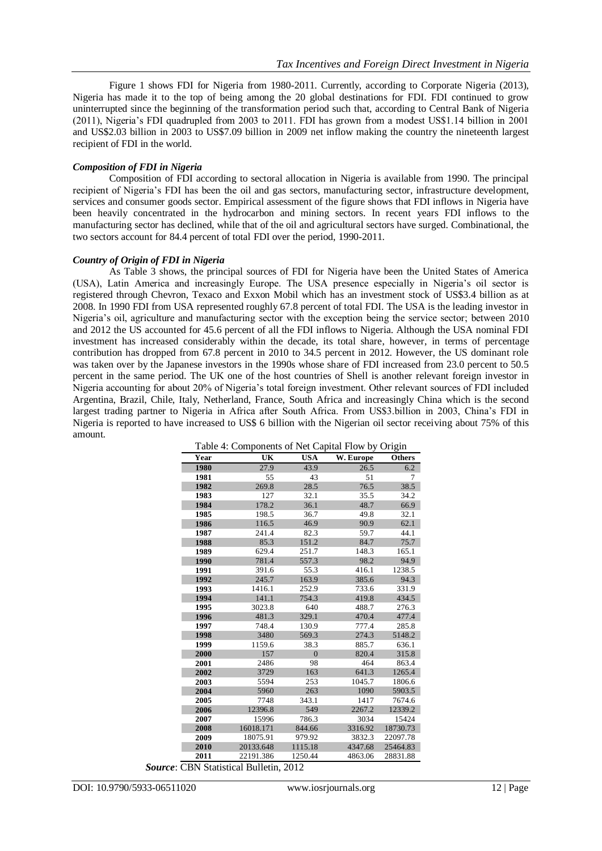Figure 1 shows FDI for Nigeria from 1980-2011. Currently, according to Corporate Nigeria (2013), Nigeria has made it to the top of being among the 20 global destinations for FDI. FDI continued to grow uninterrupted since the beginning of the transformation period such that, according to Central Bank of Nigeria (2011), Nigeria's FDI quadrupled from 2003 to 2011. FDI has grown from a modest US\$1.14 billion in 2001 and US\$2.03 billion in 2003 to US\$7.09 billion in 2009 net inflow making the country the nineteenth largest recipient of FDI in the world.

# *Composition of FDI in Nigeria*

Composition of FDI according to sectoral allocation in Nigeria is available from 1990. The principal recipient of Nigeria's FDI has been the oil and gas sectors, manufacturing sector, infrastructure development, services and consumer goods sector. Empirical assessment of the figure shows that FDI inflows in Nigeria have been heavily concentrated in the hydrocarbon and mining sectors. In recent years FDI inflows to the manufacturing sector has declined, while that of the oil and agricultural sectors have surged. Combinational, the two sectors account for 84.4 percent of total FDI over the period, 1990-2011.

# *Country of Origin of FDI in Nigeria*

As Table 3 shows, the principal sources of FDI for Nigeria have been the United States of America (USA), Latin America and increasingly Europe. The USA presence especially in Nigeria's oil sector is registered through Chevron, Texaco and Exxon Mobil which has an investment stock of US\$3.4 billion as at 2008. In 1990 FDI from USA represented roughly 67.8 percent of total FDI. The USA is the leading investor in Nigeria's oil, agriculture and manufacturing sector with the exception being the service sector; between 2010 and 2012 the US accounted for 45.6 percent of all the FDI inflows to Nigeria. Although the USA nominal FDI investment has increased considerably within the decade, its total share, however, in terms of percentage contribution has dropped from 67.8 percent in 2010 to 34.5 percent in 2012. However, the US dominant role was taken over by the Japanese investors in the 1990s whose share of FDI increased from 23.0 percent to 50.5 percent in the same period. The UK one of the host countries of Shell is another relevant foreign investor in Nigeria accounting for about 20% of Nigeria's total foreign investment. Other relevant sources of FDI included Argentina, Brazil, Chile, Italy, Netherland, France, South Africa and increasingly China which is the second largest trading partner to Nigeria in Africa after South Africa. From US\$3.billion in 2003, China's FDI in Nigeria is reported to have increased to US\$ 6 billion with the Nigerian oil sector receiving about 75% of this amount.

| Table 4: Components of Net Capital Flow by Origin |           |                |           |          |  |  |
|---------------------------------------------------|-----------|----------------|-----------|----------|--|--|
| Year                                              | UK        | <b>USA</b>     | W. Europe | Others   |  |  |
| 1980                                              | 27.9      | 43.9           | 26.5      | 6.2      |  |  |
| 1981                                              | 55        | 43             | 51        | 7        |  |  |
| 1982                                              | 269.8     | 28.5           | 76.5      | 38.5     |  |  |
| 1983                                              | 127       | 32.1           | 35.5      | 34.2     |  |  |
| 1984                                              | 178.2     | 36.1           | 48.7      | 66.9     |  |  |
| 1985                                              | 198.5     | 36.7           | 49.8      | 32.1     |  |  |
| 1986                                              | 116.5     | 46.9           | 90.9      | 62.1     |  |  |
| 1987                                              | 241.4     | 82.3           | 59.7      | 44.1     |  |  |
| 1988                                              | 85.3      | 151.2          | 84.7      | 75.7     |  |  |
| 1989                                              | 629.4     | 251.7          | 148.3     | 165.1    |  |  |
| 1990                                              | 781.4     | 557.3          | 98.2      | 94.9     |  |  |
| 1991                                              | 391.6     | 55.3           | 416.1     | 1238.5   |  |  |
| 1992                                              | 245.7     | 163.9          | 385.6     | 94.3     |  |  |
| 1993                                              | 1416.1    | 252.9          | 733.6     | 331.9    |  |  |
| 1994                                              | 141.1     | 754.3          | 419.8     | 434.5    |  |  |
| 1995                                              | 3023.8    | 640            | 488.7     | 276.3    |  |  |
| 1996                                              | 481.3     | 329.1          | 470.4     | 477.4    |  |  |
| 1997                                              | 748.4     | 130.9          | 777.4     | 285.8    |  |  |
| 1998                                              | 3480      | 569.3          | 274.3     | 5148.2   |  |  |
| 1999                                              | 1159.6    | 38.3           | 885.7     | 636.1    |  |  |
| 2000                                              | 157       | $\overline{0}$ | 820.4     | 315.8    |  |  |
| 2001                                              | 2486      | 98             | 464       | 863.4    |  |  |
| 2002                                              | 3729      | 163            | 641.3     | 1265.4   |  |  |
| 2003                                              | 5594      | 253            | 1045.7    | 1806.6   |  |  |
| 2004                                              | 5960      | 263            | 1090      | 5903.5   |  |  |
| 2005                                              | 7748      | 343.1          | 1417      | 7674.6   |  |  |
| 2006                                              | 12396.8   | 549            | 2267.2    | 12339.2  |  |  |
| 2007                                              | 15996     | 786.3          | 3034      | 15424    |  |  |
| 2008                                              | 16018.171 | 844.66         | 3316.92   | 18730.73 |  |  |
| 2009                                              | 18075.91  | 979.92         | 3832.3    | 22097.78 |  |  |
| 2010                                              | 20133.648 | 1115.18        | 4347.68   | 25464.83 |  |  |
| 2011                                              | 22191.386 | 1250.44        | 4863.06   | 28831.88 |  |  |

*Source*: CBN Statistical Bulletin, 2012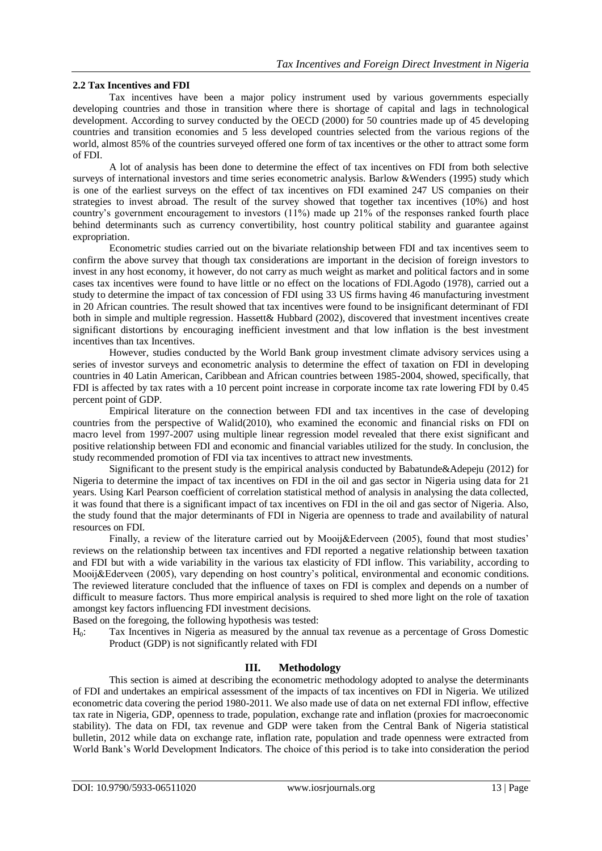# **2.2 Tax Incentives and FDI**

Tax incentives have been a major policy instrument used by various governments especially developing countries and those in transition where there is shortage of capital and lags in technological development. According to survey conducted by the OECD (2000) for 50 countries made up of 45 developing countries and transition economies and 5 less developed countries selected from the various regions of the world, almost 85% of the countries surveyed offered one form of tax incentives or the other to attract some form of FDI.

A lot of analysis has been done to determine the effect of tax incentives on FDI from both selective surveys of international investors and time series econometric analysis. Barlow &Wenders (1995) study which is one of the earliest surveys on the effect of tax incentives on FDI examined 247 US companies on their strategies to invest abroad. The result of the survey showed that together tax incentives (10%) and host country's government encouragement to investors (11%) made up 21% of the responses ranked fourth place behind determinants such as currency convertibility, host country political stability and guarantee against expropriation.

Econometric studies carried out on the bivariate relationship between FDI and tax incentives seem to confirm the above survey that though tax considerations are important in the decision of foreign investors to invest in any host economy, it however, do not carry as much weight as market and political factors and in some cases tax incentives were found to have little or no effect on the locations of FDI.Agodo (1978), carried out a study to determine the impact of tax concession of FDI using 33 US firms having 46 manufacturing investment in 20 African countries. The result showed that tax incentives were found to be insignificant determinant of FDI both in simple and multiple regression. Hassett& Hubbard (2002), discovered that investment incentives create significant distortions by encouraging inefficient investment and that low inflation is the best investment incentives than tax Incentives.

However, studies conducted by the World Bank group investment climate advisory services using a series of investor surveys and econometric analysis to determine the effect of taxation on FDI in developing countries in 40 Latin American, Caribbean and African countries between 1985-2004, showed, specifically, that FDI is affected by tax rates with a 10 percent point increase in corporate income tax rate lowering FDI by 0.45 percent point of GDP.

Empirical literature on the connection between FDI and tax incentives in the case of developing countries from the perspective of Walid(2010), who examined the economic and financial risks on FDI on macro level from 1997-2007 using multiple linear regression model revealed that there exist significant and positive relationship between FDI and economic and financial variables utilized for the study. In conclusion, the study recommended promotion of FDI via tax incentives to attract new investments.

Significant to the present study is the empirical analysis conducted by Babatunde&Adepeju (2012) for Nigeria to determine the impact of tax incentives on FDI in the oil and gas sector in Nigeria using data for 21 years. Using Karl Pearson coefficient of correlation statistical method of analysis in analysing the data collected, it was found that there is a significant impact of tax incentives on FDI in the oil and gas sector of Nigeria. Also, the study found that the major determinants of FDI in Nigeria are openness to trade and availability of natural resources on FDI.

Finally, a review of the literature carried out by Mooij&Ederveen (2005), found that most studies' reviews on the relationship between tax incentives and FDI reported a negative relationship between taxation and FDI but with a wide variability in the various tax elasticity of FDI inflow. This variability, according to Mooij&Ederveen (2005), vary depending on host country's political, environmental and economic conditions. The reviewed literature concluded that the influence of taxes on FDI is complex and depends on a number of difficult to measure factors. Thus more empirical analysis is required to shed more light on the role of taxation amongst key factors influencing FDI investment decisions.

Based on the foregoing, the following hypothesis was tested:

H0: Tax Incentives in Nigeria as measured by the annual tax revenue as a percentage of Gross Domestic Product (GDP) is not significantly related with FDI

# **III. Methodology**

This section is aimed at describing the econometric methodology adopted to analyse the determinants of FDI and undertakes an empirical assessment of the impacts of tax incentives on FDI in Nigeria. We utilized econometric data covering the period 1980-2011. We also made use of data on net external FDI inflow, effective tax rate in Nigeria, GDP, openness to trade, population, exchange rate and inflation (proxies for macroeconomic stability). The data on FDI, tax revenue and GDP were taken from the Central Bank of Nigeria statistical bulletin, 2012 while data on exchange rate, inflation rate, population and trade openness were extracted from World Bank's World Development Indicators. The choice of this period is to take into consideration the period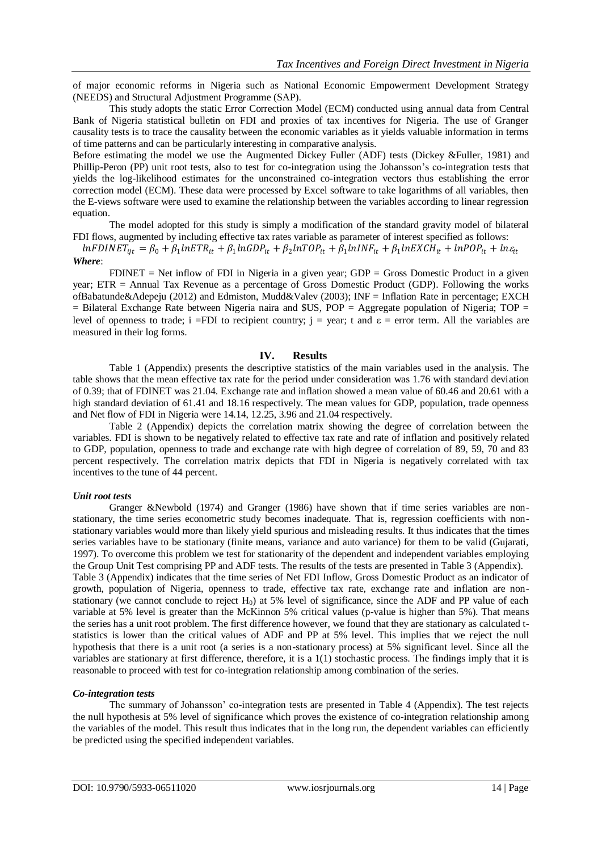of major economic reforms in Nigeria such as National Economic Empowerment Development Strategy (NEEDS) and Structural Adjustment Programme (SAP).

This study adopts the static Error Correction Model (ECM) conducted using annual data from Central Bank of Nigeria statistical bulletin on FDI and proxies of tax incentives for Nigeria. The use of Granger causality tests is to trace the causality between the economic variables as it yields valuable information in terms of time patterns and can be particularly interesting in comparative analysis.

Before estimating the model we use the Augmented Dickey Fuller (ADF) tests (Dickey &Fuller, 1981) and Phillip-Peron (PP) unit root tests, also to test for co-integration using the Johansson's co-integration tests that yields the log-likelihood estimates for the unconstrained co-integration vectors thus establishing the error correction model (ECM). These data were processed by Excel software to take logarithms of all variables, then the E-views software were used to examine the relationship between the variables according to linear regression equation.

The model adopted for this study is simply a modification of the standard gravity model of bilateral FDI flows, augmented by including effective tax rates variable as parameter of interest specified as follows:

 $lnFDINET_{ijt} = \beta_0 + \beta_1 lnETR_{it} + \beta_1 lnGDP_{it} + \beta_2 lnTOP_{it} + \beta_1 lnINF_{it} + \beta_1 lnEXCH_{it} + lnPOP_{it} + ln \varepsilon_{it}$ *Where*:

 $FDINET = Net inflow of FDI in Nigeria in a given year; GDP = Gross Domestic Product in a given$ year; ETR = Annual Tax Revenue as a percentage of Gross Domestic Product (GDP). Following the works ofBabatunde&Adepeju (2012) and Edmiston, Mudd&Valev (2003); INF = Inflation Rate in percentage; EXCH  $=$  Bilateral Exchange Rate between Nigeria naira and \$US, POP = Aggregate population of Nigeria; TOP = level of openness to trade; i =FDI to recipient country;  $i = \text{year}$ ; t and  $\varepsilon = \text{error term}$ . All the variables are measured in their log forms.

# **IV. Results**

Table 1 (Appendix) presents the descriptive statistics of the main variables used in the analysis. The table shows that the mean effective tax rate for the period under consideration was 1.76 with standard deviation of 0.39; that of FDINET was 21.04. Exchange rate and inflation showed a mean value of 60.46 and 20.61 with a high standard deviation of 61.41 and 18.16 respectively. The mean values for GDP, population, trade openness and Net flow of FDI in Nigeria were 14.14, 12.25, 3.96 and 21.04 respectively.

Table 2 (Appendix) depicts the correlation matrix showing the degree of correlation between the variables. FDI is shown to be negatively related to effective tax rate and rate of inflation and positively related to GDP, population, openness to trade and exchange rate with high degree of correlation of 89, 59, 70 and 83 percent respectively. The correlation matrix depicts that FDI in Nigeria is negatively correlated with tax incentives to the tune of 44 percent.

# *Unit root tests*

Granger &Newbold (1974) and Granger (1986) have shown that if time series variables are nonstationary, the time series econometric study becomes inadequate. That is, regression coefficients with nonstationary variables would more than likely yield spurious and misleading results. It thus indicates that the times series variables have to be stationary (finite means, variance and auto variance) for them to be valid (Gujarati, 1997). To overcome this problem we test for stationarity of the dependent and independent variables employing the Group Unit Test comprising PP and ADF tests. The results of the tests are presented in Table 3 (Appendix). Table 3 (Appendix) indicates that the time series of Net FDI Inflow, Gross Domestic Product as an indicator of growth, population of Nigeria, openness to trade, effective tax rate, exchange rate and inflation are nonstationary (we cannot conclude to reject  $H_0$ ) at 5% level of significance, since the ADF and PP value of each variable at 5% level is greater than the McKinnon 5% critical values (p-value is higher than 5%). That means the series has a unit root problem. The first difference however, we found that they are stationary as calculated tstatistics is lower than the critical values of ADF and PP at 5% level. This implies that we reject the null hypothesis that there is a unit root (a series is a non-stationary process) at 5% significant level. Since all the variables are stationary at first difference, therefore, it is a 1(1) stochastic process. The findings imply that it is reasonable to proceed with test for co-integration relationship among combination of the series.

# *Co-integration tests*

The summary of Johansson' co-integration tests are presented in Table 4 (Appendix). The test rejects the null hypothesis at 5% level of significance which proves the existence of co-integration relationship among the variables of the model. This result thus indicates that in the long run, the dependent variables can efficiently be predicted using the specified independent variables.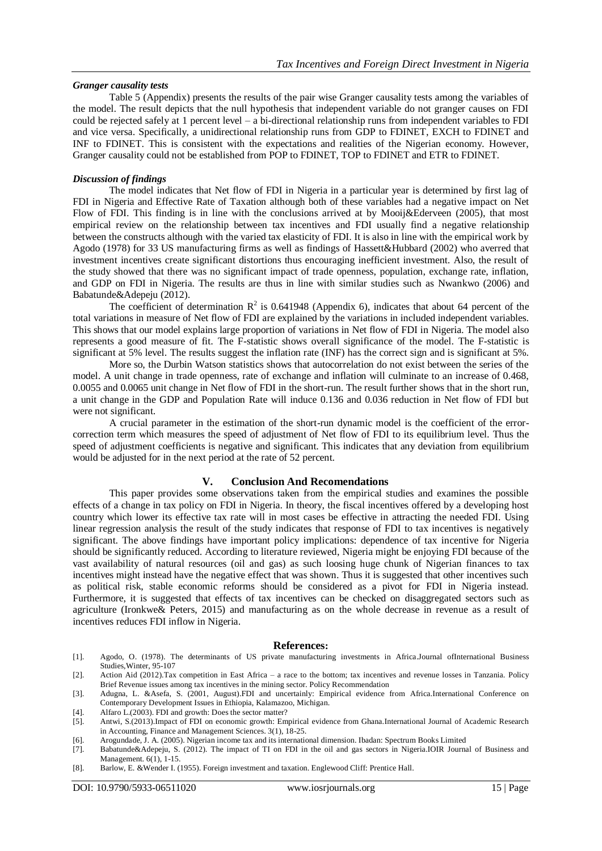#### *Granger causality tests*

Table 5 (Appendix) presents the results of the pair wise Granger causality tests among the variables of the model. The result depicts that the null hypothesis that independent variable do not granger causes on FDI could be rejected safely at 1 percent level – a bi-directional relationship runs from independent variables to FDI and vice versa. Specifically, a unidirectional relationship runs from GDP to FDINET, EXCH to FDINET and INF to FDINET. This is consistent with the expectations and realities of the Nigerian economy. However, Granger causality could not be established from POP to FDINET, TOP to FDINET and ETR to FDINET.

#### *Discussion of findings*

The model indicates that Net flow of FDI in Nigeria in a particular year is determined by first lag of FDI in Nigeria and Effective Rate of Taxation although both of these variables had a negative impact on Net Flow of FDI. This finding is in line with the conclusions arrived at by Mooij&Ederveen (2005), that most empirical review on the relationship between tax incentives and FDI usually find a negative relationship between the constructs although with the varied tax elasticity of FDI. It is also in line with the empirical work by Agodo (1978) for 33 US manufacturing firms as well as findings of Hassett&Hubbard (2002) who averred that investment incentives create significant distortions thus encouraging inefficient investment. Also, the result of the study showed that there was no significant impact of trade openness, population, exchange rate, inflation, and GDP on FDI in Nigeria. The results are thus in line with similar studies such as Nwankwo (2006) and Babatunde&Adepeju (2012).

The coefficient of determination  $R^2$  is 0.641948 (Appendix 6), indicates that about 64 percent of the total variations in measure of Net flow of FDI are explained by the variations in included independent variables. This shows that our model explains large proportion of variations in Net flow of FDI in Nigeria. The model also represents a good measure of fit. The F-statistic shows overall significance of the model. The F-statistic is significant at 5% level. The results suggest the inflation rate (INF) has the correct sign and is significant at 5%.

More so, the Durbin Watson statistics shows that autocorrelation do not exist between the series of the model. A unit change in trade openness, rate of exchange and inflation will culminate to an increase of 0.468, 0.0055 and 0.0065 unit change in Net flow of FDI in the short-run. The result further shows that in the short run, a unit change in the GDP and Population Rate will induce 0.136 and 0.036 reduction in Net flow of FDI but were not significant.

A crucial parameter in the estimation of the short-run dynamic model is the coefficient of the errorcorrection term which measures the speed of adjustment of Net flow of FDI to its equilibrium level. Thus the speed of adjustment coefficients is negative and significant. This indicates that any deviation from equilibrium would be adjusted for in the next period at the rate of 52 percent.

# **V. Conclusion And Recomendations**

This paper provides some observations taken from the empirical studies and examines the possible effects of a change in tax policy on FDI in Nigeria. In theory, the fiscal incentives offered by a developing host country which lower its effective tax rate will in most cases be effective in attracting the needed FDI. Using linear regression analysis the result of the study indicates that response of FDI to tax incentives is negatively significant. The above findings have important policy implications: dependence of tax incentive for Nigeria should be significantly reduced. According to literature reviewed, Nigeria might be enjoying FDI because of the vast availability of natural resources (oil and gas) as such loosing huge chunk of Nigerian finances to tax incentives might instead have the negative effect that was shown. Thus it is suggested that other incentives such as political risk, stable economic reforms should be considered as a pivot for FDI in Nigeria instead. Furthermore, it is suggested that effects of tax incentives can be checked on disaggregated sectors such as agriculture (Ironkwe& Peters, 2015) and manufacturing as on the whole decrease in revenue as a result of incentives reduces FDI inflow in Nigeria.

#### **References:**

- [1]. Agodo, O. (1978). The determinants of US private manufacturing investments in Africa.Journal ofInternational Business Studies,Winter, 95-107
- [2]. Action Aid (2012).Tax competition in East Africa a race to the bottom; tax incentives and revenue losses in Tanzania. Policy Brief Revenue issues among tax incentives in the mining sector. Policy Recommendation
- [3]. Adugna, L. &Asefa, S. (2001, August).FDI and uncertainly: Empirical evidence from Africa.International Conference on Contemporary Development Issues in Ethiopia, Kalamazoo, Michigan.
- [4]. Alfaro L.(2003). FDI and growth: Does the sector matter?
- [5]. Antwi, S.(2013).Impact of FDI on economic growth: Empirical evidence from Ghana.International Journal of Academic Research in Accounting, Finance and Management Sciences. 3(1), 18-25.
- [6]. Arogundade, J. A. (2005). Nigerian income tax and its international dimension. Ibadan: Spectrum Books Limited
- [7]. Babatunde&Adepeju, S. (2012). The impact of TI on FDI in the oil and gas sectors in Nigeria.IOIR Journal of Business and Management. 6(1), 1-15.
- [8]. Barlow, E. &Wender I. (1955). Foreign investment and taxation. Englewood Cliff: Prentice Hall.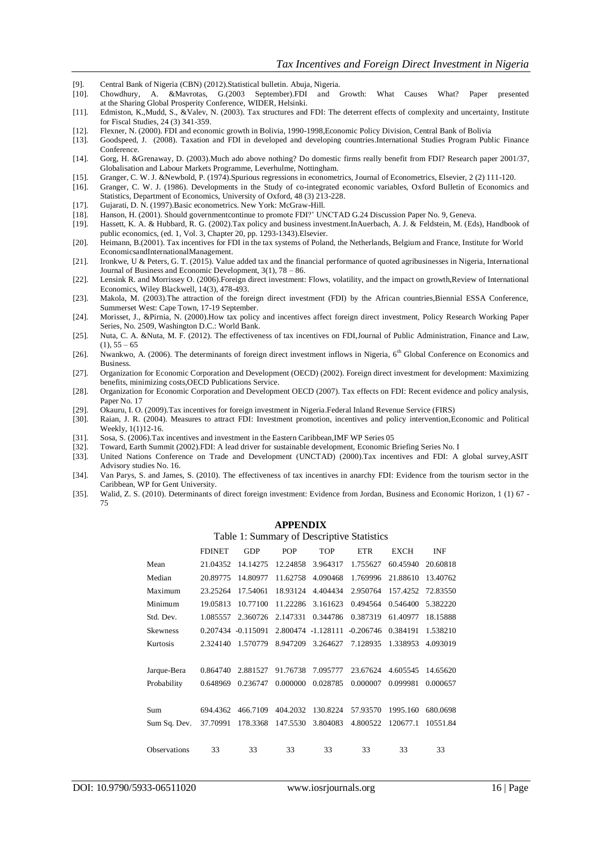- [9]. Central Bank of Nigeria (CBN) (2012).Statistical bulletin. Abuja, Nigeria.
- [10]. Chowdhury, A. &Mavrotas, G.(2003 September).FDI and Growth: What Causes What? Paper presented at the Sharing Global Prosperity Conference, WIDER, Helsinki.
- [11]. Edmiston, K.,Mudd, S., &Valev, N. (2003). Tax structures and FDI: The deterrent effects of complexity and uncertainty, Institute for Fiscal Studies, 24 (3) 341-359.
- [12]. Flexner, N. (2000). FDI and economic growth in Bolivia, 1990-1998,Economic Policy Division, Central Bank of Bolivia
- [13]. Goodspeed, J. (2008). Taxation and FDI in developed and developing countries.International Studies Program Public Finance Conference.

[14]. Gorg, H. &Grenaway, D. (2003).Much ado above nothing? Do domestic firms really benefit from FDI? Research paper 2001/37, Globalisation and Labour Markets Programme, Leverhulme, Nottingham.

- [15]. Granger, C. W. J. &Newbold, P. (1974).Spurious regressions in econometrics, Journal of Econometrics, Elsevier, 2 (2) 111-120.
- [16]. Granger, C. W. J. (1986). Developments in the Study of co-integrated economic variables, Oxford Bulletin of Economics and Statistics, Department of Economics, University of Oxford, 48 (3) 213-228.
- [17]. Gujarati, D. N. (1997).Basic econometrics. New York: McGraw-Hill.
- [18]. Hanson, H. (2001). Should governmentcontinue to promote FDI?' UNCTAD G.24 Discussion Paper No. 9, Geneva.
- [19]. Hassett, K. A. & Hubbard, R. G. (2002).Tax policy and business investment.InAuerbach, A. J. & Feldstein, M. (Eds), Handbook of public economics, (ed. 1, Vol. 3, Chapter 20, pp. 1293-1343).Elsevier.
- [20]. Heimann, B.(2001). Tax incentives for FDI in the tax systems of Poland, the Netherlands, Belgium and France, Institute for World EconomicsandInternationalManagement.
- [21]. Ironkwe, U & Peters, G. T. (2015). Value added tax and the financial performance of quoted agribusinesses in Nigeria, International Journal of Business and Economic Development, 3(1), 78 – 86.
- [22]. Lensink R. and Morrissey O. (2006[\).Foreign direct investment: Flows, volatility, and the impact on growth,](http://ideas.repec.org/a/bla/reviec/v14y2006i3p478-493.html)[Review of International](http://ideas.repec.org/s/bla/reviec.html)  [Economics,](http://ideas.repec.org/s/bla/reviec.html) Wiley Blackwell, 14(3), 478-493.
- [23]. Makola, M. (2003).The attraction of the foreign direct investment (FDI) by the African countries,Biennial ESSA Conference, Summerset West: Cape Town, 17-19 September.
- [24]. Morisset, J., &Pirnia, N. (2000).How tax policy and incentives affect foreign direct investment, Policy Research Working Paper Series, No. 2509, Washington D.C.: World Bank.
- [25]. Nuta, C. A. &Nuta, M. F. (2012). The effectiveness of tax incentives on FDI,Journal of Public Administration, Finance and Law,  $(1), 55 - 65$
- [26]. Nwankwo, A. (2006). The determinants of foreign direct investment inflows in Nigeria, 6<sup>th</sup> Global Conference on Economics and Business.
- [27]. Organization for Economic Corporation and Development (OECD) (2002). Foreign direct investment for development: Maximizing benefits, minimizing costs,OECD Publications Service.
- [28]. Organization for Economic Corporation and Development OECD (2007). Tax effects on FDI: Recent evidence and policy analysis, Paper No. 17
- [29]. Okauru, I. O. (2009).Tax incentives for foreign investment in Nigeria.Federal Inland Revenue Service (FIRS)
- [30]. Raian, J. R. (2004). Measures to attract FDI: Investment promotion, incentives and policy intervention,Economic and Political Weekly, 1(1)12-16.
- [31]. Sosa, S. (2006).Tax incentives and investment in the Eastern Caribbean,IMF WP Series 05
- [32]. Toward, Earth Summit (2002).FDI: A lead driver for sustainable development, Economic Briefing Series No. I
- [33]. United Nations Conference on Trade and Development (UNCTAD) (2000).Tax incentives and FDI: A global survey,ASIT Advisory studies No. 16.
- [34]. Van Parys, S. and James, S. (2010). The effectiveness of tax incentives in anarchy FDI: Evidence from the tourism sector in the Caribbean, WP for Gent University.
- [35]. Walid, Z. S. (2010). Determinants of direct foreign investment: Evidence from Jordan, Business and Economic Horizon, 1 (1) 67 75

#### **APPENDIX**

#### Table 1: Summary of Descriptive Statistics

|                     | <b>FDINET</b> | <b>GDP</b>         | POP      | TOP                | <b>ETR</b>  | EXCH     | INF      |
|---------------------|---------------|--------------------|----------|--------------------|-------------|----------|----------|
| Mean                | 21.04352      | 14.14275           | 12.24858 | 3.964317           | 1.755627    | 60.45940 | 20.60818 |
| Median              | 20.89775      | 14.80977           | 11.62758 | 4.090468           | 1.769996    | 21.88610 | 13.40762 |
| Maximum             | 23.25264      | 17.54061           | 18.93124 | 4.404434           | 2.950764    | 157.4252 | 72.83550 |
| Minimum             | 19.05813      | 10.77100           | 11.22286 | 3.161623           | 0.494564    | 0.546400 | 5.382220 |
| Std. Dev.           | 1.085557      | 2.360726           | 2.147331 | 0.344786           | 0.387319    | 61.40977 | 18.15888 |
| <b>Skewness</b>     |               | 0.207434 -0.115091 |          | 2.800474 -1.128111 | $-0.206746$ | 0.384191 | 1.538210 |
| Kurtosis            | 2.324140      | 1.570779           | 8.947209 | 3.264627           | 7.128935    | 1.338953 | 4.093019 |
|                     |               |                    |          |                    |             |          |          |
| Jarque-Bera         | 0.864740      | 2.881527           | 91.76738 | 7.095777           | 23.67624    | 4.605545 | 14.65620 |
| Probability         | 0.648969      | 0.236747           | 0.000000 | 0.028785           | 0.000007    | 0.099981 | 0.000657 |
|                     |               |                    |          |                    |             |          |          |
| Sum                 | 694.4362      | 466.7109           | 404.2032 | 130.8224           | 57.93570    | 1995.160 | 680.0698 |
| Sum Sq. Dev.        | 37.70991      | 178.3368           | 147.5530 | 3.804083           | 4.800522    | 120677.1 | 10551.84 |
|                     |               |                    |          |                    |             |          |          |
| <b>Observations</b> | 33            | 33                 | 33       | 33                 | 33          | 33       | 33       |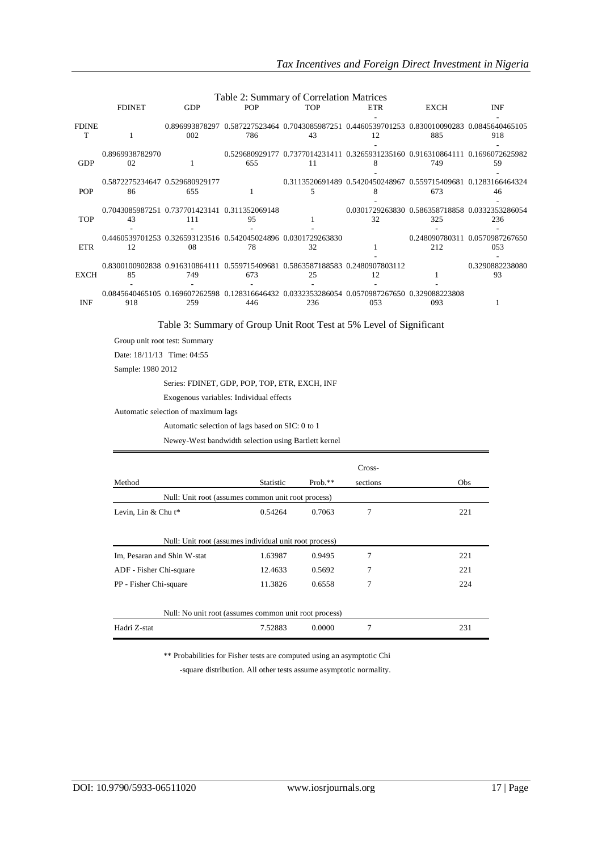|                   | Table 2: Summary of Correlation Matrices            |                       |            |                                                                                     |                                                                                                     |      |                                       |
|-------------------|-----------------------------------------------------|-----------------------|------------|-------------------------------------------------------------------------------------|-----------------------------------------------------------------------------------------------------|------|---------------------------------------|
|                   | <b>FDINET</b>                                       | <b>GDP</b>            | <b>POP</b> | <b>TOP</b>                                                                          | ETR                                                                                                 | EXCH | <b>INF</b>                            |
| <b>FDINE</b><br>т |                                                     | 0.896993878297<br>002 | 786        | 43                                                                                  | 0.587227523464 0.7043085987251 0.4460539701253 0.830010090283 0.0845640465105<br>12                 | 885  | 918                                   |
| <b>GDP</b>        | 0.8969938782970<br>02                               |                       | 655        | 11                                                                                  | 0.529680929177 0.7377014231411 0.3265931235160 0.916310864111 0.1696072625982<br>8                  | 749  | 59                                    |
| <b>POP</b>        | 0.5872275234647 0.529680929177<br>86                | 655                   |            | 5                                                                                   | 0.3113520691489  0.5420450248967  0.559715409681  0.1283166464324                                   | 673  | 46                                    |
| <b>TOP</b>        | 0.7043085987251 0.737701423141 0.311352069148<br>43 | 111                   | 95         |                                                                                     | 0.0301729263830  0.586358718858  0.0332353286054<br>32                                              | 325  | 236                                   |
| <b>ETR</b>        | 12                                                  | 08                    | 78         | 0.4460539701253 0.326593123516 0.542045024896 0.0301729263830<br>32                 |                                                                                                     | 212  | 0.248090780311 0.0570987267650<br>053 |
| <b>EXCH</b>       | 85                                                  | 749                   | 673        | 0.8300100902838 0.916310864111 0.559715409681 0.5863587188583 0.2480907803112<br>25 | 12                                                                                                  |      | 0.3290882238080<br>93                 |
| <b>INF</b>        | 918                                                 | 259                   | 446        | 236                                                                                 | 0.0845640465105 0.169607262598 0.128316646432 0.0332353286054 0.0570987267650 0.329088223808<br>053 | 093  |                                       |

#### Table 3: Summary of Group Unit Root Test at 5% Level of Significant

Group unit root test: Summary

Date: 18/11/13 Time: 04:55

Sample: 1980 2012

Series: FDINET, GDP, POP, TOP, ETR, EXCH, INF

Exogenous variables: Individual effects

Automatic selection of maximum lags

Automatic selection of lags based on SIC: 0 to 1

Newey-West bandwidth selection using Bartlett kernel

|                                                        |           |            | Cross-   |     |  |  |
|--------------------------------------------------------|-----------|------------|----------|-----|--|--|
| Method                                                 | Statistic | Prob. $**$ | sections | Obs |  |  |
| Null: Unit root (assumes common unit root process)     |           |            |          |     |  |  |
| Levin, Lin & Chu $t^*$                                 | 0.54264   | 0.7063     | 7        | 221 |  |  |
| Null: Unit root (assumes individual unit root process) |           |            |          |     |  |  |
| Im, Pesaran and Shin W-stat                            | 1.63987   | 0.9495     | 7        | 221 |  |  |
| ADF - Fisher Chi-square                                | 12.4633   | 0.5692     | 7        | 221 |  |  |
| PP - Fisher Chi-square                                 | 11.3826   | 0.6558     | 7        | 224 |  |  |
| Null: No unit root (assumes common unit root process)  |           |            |          |     |  |  |
| Hadri Z-stat                                           | 7.52883   | 0.0000     | 7        | 231 |  |  |

\*\* Probabilities for Fisher tests are computed using an asymptotic Chi

-square distribution. All other tests assume asymptotic normality.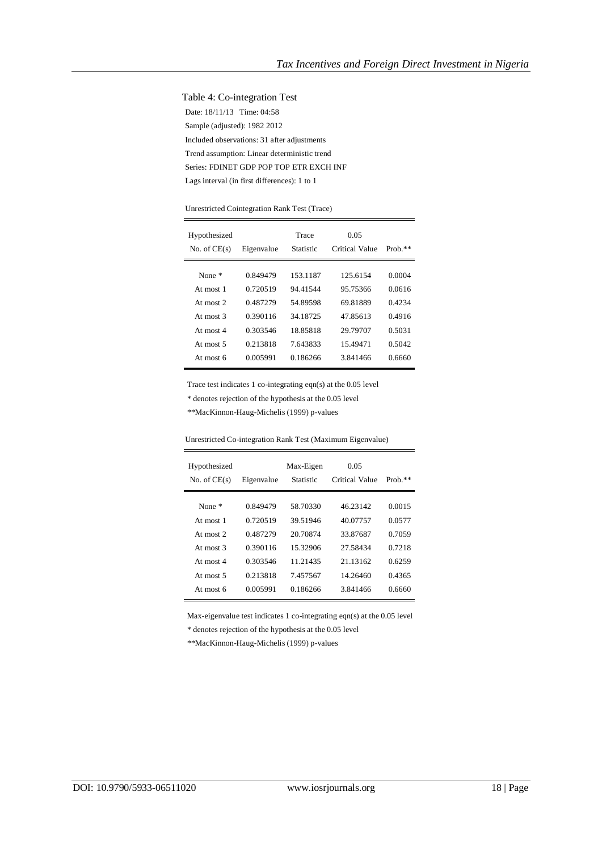#### Table 4: Co-integration Test

Date: 18/11/13 Time: 04:58 Sample (adjusted): 1982 2012 Included observations: 31 after adjustments Trend assumption: Linear deterministic trend Series: FDINET GDP POP TOP ETR EXCH INF Lags interval (in first differences): 1 to 1

#### Unrestricted Cointegration Rank Test (Trace)

| Hypothesized<br>No. of $CE(s)$ | Eigenvalue | Trace<br>Statistic | 0.05<br>Critical Value | Prob. $**$ |
|--------------------------------|------------|--------------------|------------------------|------------|
| None $*$                       | 0.849479   | 153.1187           | 125.6154               | 0.0004     |
| At most 1                      | 0.720519   | 94.41544           | 95.75366               | 0.0616     |
| At most $2$                    | 0.487279   | 54.89598           | 6981889                | 0.4234     |
| At most $3$                    | 0.390116   | 34.18725           | 47 85613               | 0.4916     |
| At most $4$                    | 0.303546   | 18.85818           | 29.79707               | 0.5031     |
| At most $5$                    | 0.213818   | 7.643833           | 15.49471               | 0.5042     |
| At most 6                      | 0.005991   | 0.186266           | 3.841466               | 0.6660     |

Trace test indicates 1 co-integrating eqn(s) at the 0.05 level

\* denotes rejection of the hypothesis at the 0.05 level

\*\*MacKinnon-Haug-Michelis (1999) p-values

| Hypothesized<br>No. of $CE(s)$ | Eigenvalue | Max-Eigen<br>Statistic | 0.05<br>Critical Value | $Prob.**$ |
|--------------------------------|------------|------------------------|------------------------|-----------|
| None $*$                       | 0.849479   | 58.70330               | 46 23142               | 0.0015    |
| At most 1                      | 0.720519   | 39.51946               | 40.07757               | 0.0577    |
| At most $2$                    | 0.487279   | 20.70874               | 33.87687               | 0.7059    |
| At most $3$                    | 0.390116   | 15.32906               | 27.58434               | 0.7218    |
| At most $4$                    | 0.303546   | 11.21435               | 21.13162               | 0.6259    |
| At most $5$                    | 0.213818   | 7.457567               | 14.26460               | 0.4365    |
| At most 6                      | 0.005991   | 0.186266               | 3.841466               | 0.6660    |

Unrestricted Co-integration Rank Test (Maximum Eigenvalue)

Max-eigenvalue test indicates 1 co-integrating eqn(s) at the 0.05 level

\* denotes rejection of the hypothesis at the 0.05 level

\*\*MacKinnon-Haug-Michelis (1999) p-values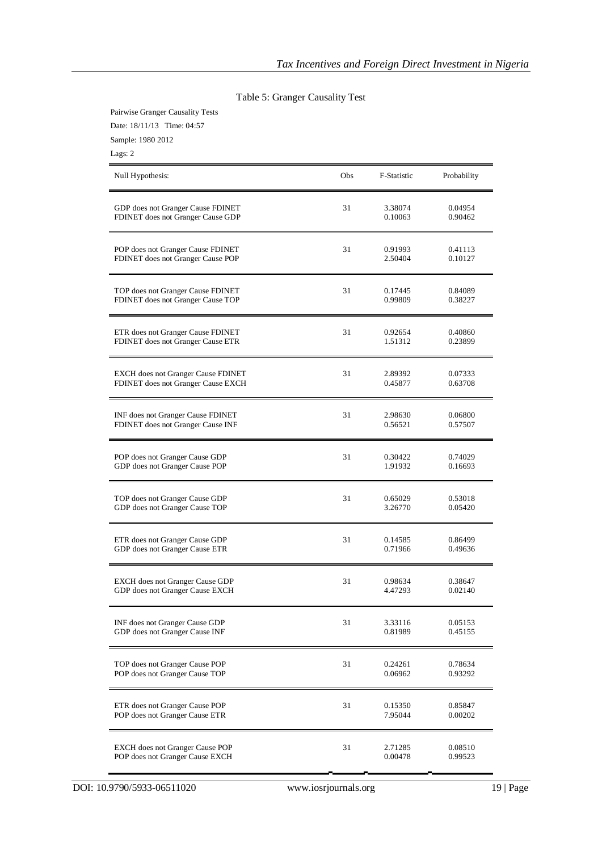| Date: 18/11/13 Time: 04:57<br>Sample: 1980 2012<br>Lags: 2 |     |             |             |
|------------------------------------------------------------|-----|-------------|-------------|
| Null Hypothesis:                                           | Obs | F-Statistic | Probability |
| GDP does not Granger Cause FDINET                          | 31  | 3.38074     | 0.04954     |
| FDINET does not Granger Cause GDP                          |     | 0.10063     | 0.90462     |
| POP does not Granger Cause FDINET                          | 31  | 0.91993     | 0.41113     |
| FDINET does not Granger Cause POP                          |     | 2.50404     | 0.10127     |
| TOP does not Granger Cause FDINET                          | 31  | 0.17445     | 0.84089     |
| FDINET does not Granger Cause TOP                          |     | 0.99809     | 0.38227     |
| ETR does not Granger Cause FDINET                          | 31  | 0.92654     | 0.40860     |
| FDINET does not Granger Cause ETR                          |     | 1.51312     | 0.23899     |
| <b>EXCH</b> does not Granger Cause FDINET                  | 31  | 2.89392     | 0.07333     |
| FDINET does not Granger Cause EXCH                         |     | 0.45877     | 0.63708     |
| INF does not Granger Cause FDINET                          | 31  | 2.98630     | 0.06800     |
| FDINET does not Granger Cause INF                          |     | 0.56521     | 0.57507     |
| POP does not Granger Cause GDP                             | 31  | 0.30422     | 0.74029     |
| GDP does not Granger Cause POP                             |     | 1.91932     | 0.16693     |
| TOP does not Granger Cause GDP                             | 31  | 0.65029     | 0.53018     |
| GDP does not Granger Cause TOP                             |     | 3.26770     | 0.05420     |
| ETR does not Granger Cause GDP                             | 31  | 0.14585     | 0.86499     |
| GDP does not Granger Cause ETR                             |     | 0.71966     | 0.49636     |
| EXCH does not Granger Cause GDP                            | 31  | 0.98634     | 0.38647     |
| GDP does not Granger Cause EXCH                            |     | 4.47293     | 0.02140     |
| INF does not Granger Cause GDP                             | 31  | 3.33116     | 0.05153     |
| GDP does not Granger Cause INF                             |     | 0.81989     | 0.45155     |
| TOP does not Granger Cause POP                             | 31  | 0.24261     | 0.78634     |
| POP does not Granger Cause TOP                             |     | 0.06962     | 0.93292     |
| ETR does not Granger Cause POP                             | 31  | 0.15350     | 0.85847     |
| POP does not Granger Cause ETR                             |     | 7.95044     | 0.00202     |
| <b>EXCH</b> does not Granger Cause POP                     | 31  | 2.71285     | 0.08510     |
| POP does not Granger Cause EXCH                            |     | 0.00478     | 0.99523     |

# Table 5: Granger Causality Test

Pairwise Granger Causality Tests